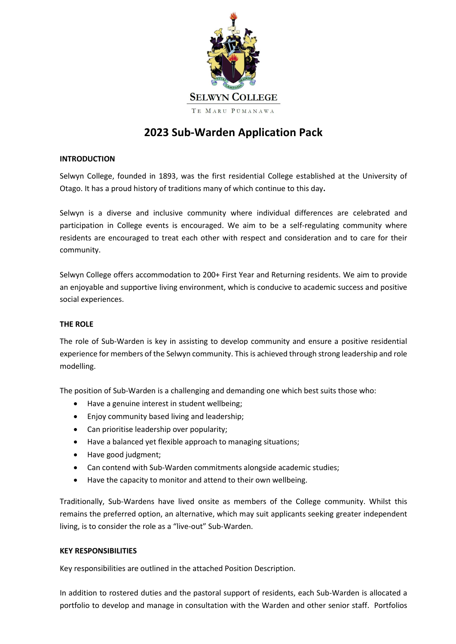

# **2023 Sub-Warden Application Pack**

# **INTRODUCTION**

Selwyn College, founded in 1893, was the first residential College established at the University of Otago. It has a proud history of traditions many of which continue to this day**.** 

Selwyn is a diverse and inclusive community where individual differences are celebrated and participation in College events is encouraged. We aim to be a self-regulating community where residents are encouraged to treat each other with respect and consideration and to care for their community.

Selwyn College offers accommodation to 200+ First Year and Returning residents. We aim to provide an enjoyable and supportive living environment, which is conducive to academic success and positive social experiences.

# **THE ROLE**

The role of Sub-Warden is key in assisting to develop community and ensure a positive residential experience for members of the Selwyn community. This is achieved through strong leadership and role modelling.

The position of Sub-Warden is a challenging and demanding one which best suits those who:

- Have a genuine interest in student wellbeing;
- Enjoy community based living and leadership;
- Can prioritise leadership over popularity;
- Have a balanced yet flexible approach to managing situations;
- Have good judgment;
- Can contend with Sub-Warden commitments alongside academic studies;
- Have the capacity to monitor and attend to their own wellbeing.

Traditionally, Sub-Wardens have lived onsite as members of the College community. Whilst this remains the preferred option, an alternative, which may suit applicants seeking greater independent living, is to consider the role as a "live-out" Sub-Warden.

#### **KEY RESPONSIBILITIES**

Key responsibilities are outlined in the attached Position Description.

In addition to rostered duties and the pastoral support of residents, each Sub-Warden is allocated a portfolio to develop and manage in consultation with the Warden and other senior staff. Portfolios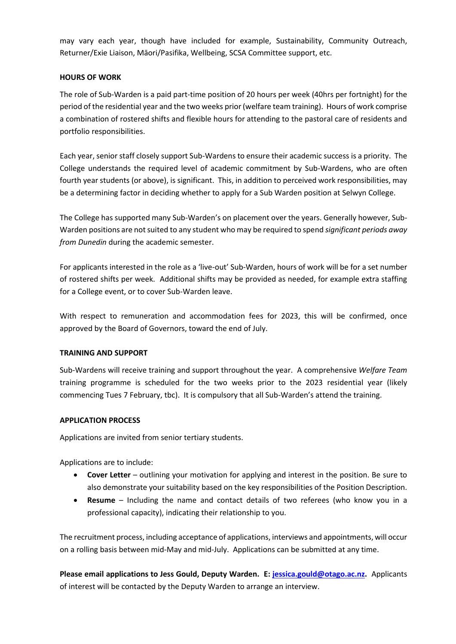may vary each year, though have included for example, Sustainability, Community Outreach, Returner/Exie Liaison, Māori/Pasifika, Wellbeing, SCSA Committee support, etc.

# **HOURS OF WORK**

The role of Sub-Warden is a paid part-time position of 20 hours per week (40hrs per fortnight) for the period of the residential year and the two weeks prior (welfare team training). Hours of work comprise a combination of rostered shifts and flexible hours for attending to the pastoral care of residents and portfolio responsibilities.

Each year, senior staff closely support Sub-Wardens to ensure their academic success is a priority. The College understands the required level of academic commitment by Sub-Wardens, who are often fourth year students (or above), is significant. This, in addition to perceived work responsibilities, may be a determining factor in deciding whether to apply for a Sub Warden position at Selwyn College.

The College has supported many Sub-Warden's on placement over the years. Generally however, Sub-Warden positions are not suited to any student who may be required to spend *significant periods away from Dunedin* during the academic semester.

For applicants interested in the role as a 'live-out' Sub-Warden, hours of work will be for a set number of rostered shifts per week. Additional shifts may be provided as needed, for example extra staffing for a College event, or to cover Sub-Warden leave.

With respect to remuneration and accommodation fees for 2023, this will be confirmed, once approved by the Board of Governors, toward the end of July.

#### **TRAINING AND SUPPORT**

Sub-Wardens will receive training and support throughout the year. A comprehensive *Welfare Team* training programme is scheduled for the two weeks prior to the 2023 residential year (likely commencing Tues 7 February, tbc). It is compulsory that all Sub-Warden's attend the training.

#### **APPLICATION PROCESS**

Applications are invited from senior tertiary students.

Applications are to include:

- **Cover Letter** outlining your motivation for applying and interest in the position. Be sure to also demonstrate your suitability based on the key responsibilities of the Position Description.
- **Resume** Including the name and contact details of two referees (who know you in a professional capacity), indicating their relationship to you.

The recruitment process, including acceptance of applications, interviews and appointments, will occur on a rolling basis between mid-May and mid-July. Applications can be submitted at any time.

**Please email applications to Jess Gould, Deputy Warden. E[: jessica.gould@otago.ac.nz.](mailto:jessica.gould@otago.ac.nz)** Applicants of interest will be contacted by the Deputy Warden to arrange an interview.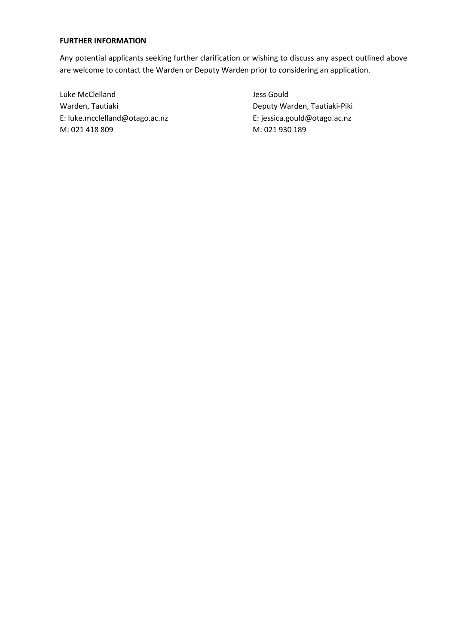#### **FURTHER INFORMATION**

Any potential applicants seeking further clarification or wishing to discuss any aspect outlined above are welcome to contact the Warden or Deputy Warden prior to considering an application.

Luke McClelland and Dess Gould Warden, Tautiaki **Markarya Papatiaki Piki** Deputy Warden, Tautiaki-Piki E: [luke.mcclelland@otago.ac.nz](mailto:luke.mcclelland@otago.ac.nz) E: jessica.gould@otago.ac.nz M: 021 418 809 M: 021 930 189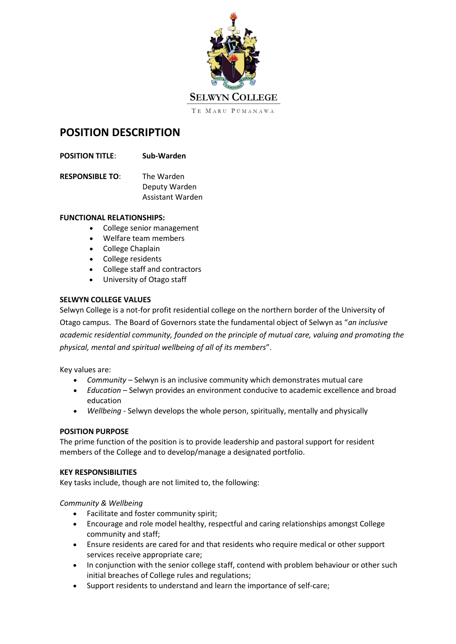

# **POSITION DESCRIPTION**

- **POSITION TITLE**: **Sub-Warden**
- **RESPONSIBLE TO**: The Warden Deputy Warden Assistant Warden

#### **FUNCTIONAL RELATIONSHIPS:**

- College senior management
- Welfare team members
- College Chaplain
- College residents
- College staff and contractors
- University of Otago staff

# **SELWYN COLLEGE VALUES**

Selwyn College is a not-for profit residential college on the northern border of the University of Otago campus. The Board of Governors state the fundamental object of Selwyn as "*an inclusive academic residential community, founded on the principle of mutual care, valuing and promoting the physical, mental and spiritual wellbeing of all of its members*".

Key values are:

- *Community* Selwyn is an inclusive community which demonstrates mutual care
- *Education –* Selwyn provides an environment conducive to academic excellence and broad education
- *Wellbeing* Selwyn develops the whole person, spiritually, mentally and physically

#### **POSITION PURPOSE**

The prime function of the position is to provide leadership and pastoral support for resident members of the College and to develop/manage a designated portfolio.

#### **KEY RESPONSIBILITIES**

Key tasks include, though are not limited to, the following:

#### *Community & Wellbeing*

- Facilitate and foster community spirit;
- Encourage and role model healthy, respectful and caring relationships amongst College community and staff;
- Ensure residents are cared for and that residents who require medical or other support services receive appropriate care;
- In conjunction with the senior college staff, contend with problem behaviour or other such initial breaches of College rules and regulations;
- Support residents to understand and learn the importance of self-care;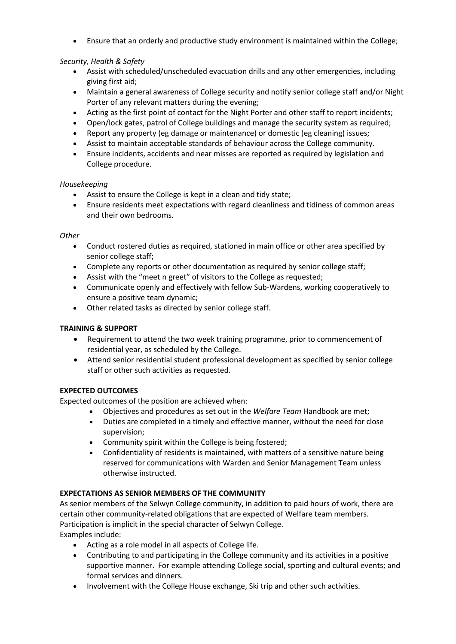Ensure that an orderly and productive study environment is maintained within the College;

# *Security, Health & Safety*

- Assist with scheduled/unscheduled evacuation drills and any other emergencies, including giving first aid;
- Maintain a general awareness of College security and notify senior college staff and/or Night Porter of any relevant matters during the evening;
- Acting as the first point of contact for the Night Porter and other staff to report incidents;
- Open/lock gates, patrol of College buildings and manage the security system as required;
- Report any property (eg damage or maintenance) or domestic (eg cleaning) issues;
- Assist to maintain acceptable standards of behaviour across the College community.
- Ensure incidents, accidents and near misses are reported as required by legislation and College procedure.

# *Housekeeping*

- Assist to ensure the College is kept in a clean and tidy state;
- Ensure residents meet expectations with regard cleanliness and tidiness of common areas and their own bedrooms.

# *Other*

- Conduct rostered duties as required, stationed in main office or other area specified by senior college staff;
- Complete any reports or other documentation as required by senior college staff;
- Assist with the "meet n greet" of visitors to the College as requested;
- Communicate openly and effectively with fellow Sub-Wardens, working cooperatively to ensure a positive team dynamic;
- Other related tasks as directed by senior college staff.

# **TRAINING & SUPPORT**

- Requirement to attend the two week training programme, prior to commencement of residential year, as scheduled by the College.
- Attend senior residential student professional development as specified by senior college staff or other such activities as requested.

# **EXPECTED OUTCOMES**

Expected outcomes of the position are achieved when:

- Objectives and procedures as set out in the *Welfare Team* Handbook are met;
- Duties are completed in a timely and effective manner, without the need for close supervision;
- Community spirit within the College is being fostered;
- Confidentiality of residents is maintained, with matters of a sensitive nature being reserved for communications with Warden and Senior Management Team unless otherwise instructed.

# **EXPECTATIONS AS SENIOR MEMBERS OF THE COMMUNITY**

As senior members of the Selwyn College community, in addition to paid hours of work, there are certain other community-related obligations that are expected of Welfare team members. Participation is implicit in the special character of Selwyn College. Examples include:

- Acting as a role model in all aspects of College life.
- Contributing to and participating in the College community and its activities in a positive supportive manner. For example attending College social, sporting and cultural events; and formal services and dinners.
- Involvement with the College House exchange, Ski trip and other such activities.